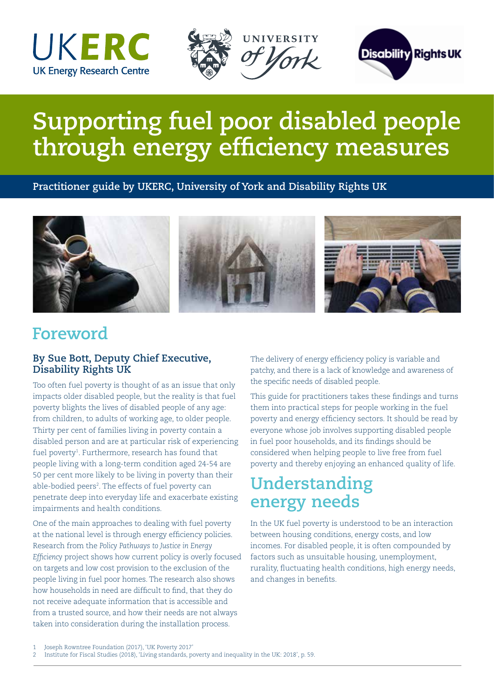





# **Supporting fuel poor disabled people through energy efficiency measures**

**Practitioner guide by UKERC, University of York and Disability Rights UK**



#### **Foreword**

#### **By Sue Bott, Deputy Chief Executive, Disability Rights UK**

Too often fuel poverty is thought of as an issue that only impacts older disabled people, but the reality is that fuel poverty blights the lives of disabled people of any age: from children, to adults of working age, to older people. Thirty per cent of families living in poverty contain a disabled person and are at particular risk of experiencing fuel poverty<sup>1</sup>. Furthermore, research has found that people living with a long-term condition aged 24-54 are 50 per cent more likely to be living in poverty than their able-bodied peers<sup>2</sup>. The effects of fuel poverty can penetrate deep into everyday life and exacerbate existing impairments and health conditions.

One of the main approaches to dealing with fuel poverty at the national level is through energy efficiency policies. Research from the *Policy Pathways to Justice in Energy Efficiency* project shows how current policy is overly focused on targets and low cost provision to the exclusion of the people living in fuel poor homes. The research also shows how households in need are difficult to find, that they do not receive adequate information that is accessible and from a trusted source, and how their needs are not always taken into consideration during the installation process.

The delivery of energy efficiency policy is variable and patchy, and there is a lack of knowledge and awareness of the specific needs of disabled people.

This guide for practitioners takes these findings and turns them into practical steps for people working in the fuel poverty and energy efficiency sectors. It should be read by everyone whose job involves supporting disabled people in fuel poor households, and its findings should be considered when helping people to live free from fuel poverty and thereby enjoying an enhanced quality of life.

## **Understanding energy needs**

In the UK fuel poverty is understood to be an interaction between housing conditions, energy costs, and low incomes. For disabled people, it is often compounded by factors such as unsuitable housing, unemployment, rurality, fluctuating health conditions, high energy needs, and changes in benefits.

<sup>1</sup> Joseph Rowntree Foundation (2017), 'UK Poverty 2017'

<sup>2</sup> Institute for Fiscal Studies (2018), 'Living standards, poverty and inequality in the UK: 2018', p. 59.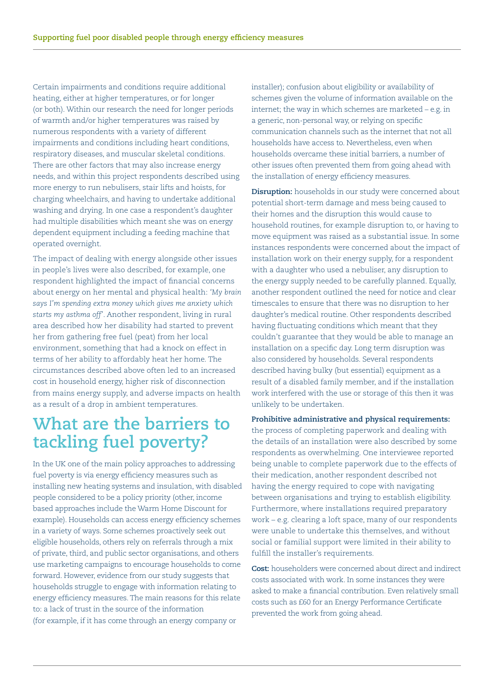Certain impairments and conditions require additional heating, either at higher temperatures, or for longer (or both). Within our research the need for longer periods of warmth and/or higher temperatures was raised by numerous respondents with a variety of different impairments and conditions including heart conditions, respiratory diseases, and muscular skeletal conditions. There are other factors that may also increase energy needs, and within this project respondents described using more energy to run nebulisers, stair lifts and hoists, for charging wheelchairs, and having to undertake additional washing and drying. In one case a respondent's daughter had multiple disabilities which meant she was on energy dependent equipment including a feeding machine that operated overnight.

The impact of dealing with energy alongside other issues in people's lives were also described, for example, one respondent highlighted the impact of financial concerns about energy on her mental and physical health: *'My brain says I'm spending extra money which gives me anxiety which starts my asthma off'*. Another respondent, living in rural area described how her disability had started to prevent her from gathering free fuel (peat) from her local environment, something that had a knock on effect in terms of her ability to affordably heat her home. The circumstances described above often led to an increased cost in household energy, higher risk of disconnection from mains energy supply, and adverse impacts on health as a result of a drop in ambient temperatures.

## **What are the barriers to tackling fuel poverty?**

In the UK one of the main policy approaches to addressing fuel poverty is via energy efficiency measures such as installing new heating systems and insulation, with disabled people considered to be a policy priority (other, income based approaches include the Warm Home Discount for example). Households can access energy efficiency schemes in a variety of ways. Some schemes proactively seek out eligible households, others rely on referrals through a mix of private, third, and public sector organisations, and others use marketing campaigns to encourage households to come forward. However, evidence from our study suggests that households struggle to engage with information relating to energy efficiency measures. The main reasons for this relate to: a lack of trust in the source of the information (for example, if it has come through an energy company or

installer); confusion about eligibility or availability of schemes given the volume of information available on the internet; the way in which schemes are marketed – e.g. in a generic, non-personal way, or relying on specific communication channels such as the internet that not all households have access to. Nevertheless, even when households overcame these initial barriers, a number of other issues often prevented them from going ahead with the installation of energy efficiency measures.

**Disruption:** households in our study were concerned about potential short-term damage and mess being caused to their homes and the disruption this would cause to household routines, for example disruption to, or having to move equipment was raised as a substantial issue. In some instances respondents were concerned about the impact of installation work on their energy supply, for a respondent with a daughter who used a nebuliser, any disruption to the energy supply needed to be carefully planned. Equally, another respondent outlined the need for notice and clear timescales to ensure that there was no disruption to her daughter's medical routine. Other respondents described having fluctuating conditions which meant that they couldn't guarantee that they would be able to manage an installation on a specific day. Long term disruption was also considered by households. Several respondents described having bulky (but essential) equipment as a result of a disabled family member, and if the installation work interfered with the use or storage of this then it was unlikely to be undertaken.

**Prohibitive administrative and physical requirements:**  the process of completing paperwork and dealing with the details of an installation were also described by some respondents as overwhelming. One interviewee reported being unable to complete paperwork due to the effects of their medication, another respondent described not having the energy required to cope with navigating between organisations and trying to establish eligibility. Furthermore, where installations required preparatory work – e.g. clearing a loft space, many of our respondents were unable to undertake this themselves, and without social or familial support were limited in their ability to fulfill the installer's requirements.

**Cost:** householders were concerned about direct and indirect costs associated with work. In some instances they were asked to make a financial contribution. Even relatively small costs such as £60 for an Energy Performance Certificate prevented the work from going ahead.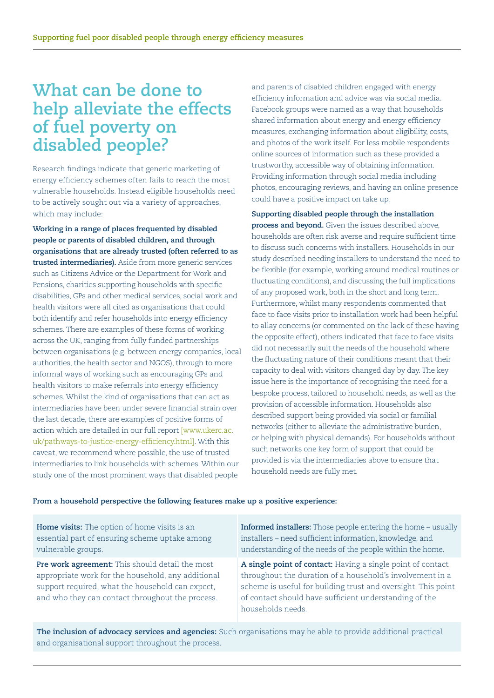#### **What can be done to help alleviate the effects of fuel poverty on disabled people?**

Research findings indicate that generic marketing of energy efficiency schemes often fails to reach the most vulnerable households. Instead eligible households need to be actively sought out via a variety of approaches, which may include:

**Working in a range of places frequented by disabled people or parents of disabled children, and through organisations that are already trusted (often referred to as trusted intermediaries).** Aside from more generic services such as Citizens Advice or the Department for Work and Pensions, charities supporting households with specific disabilities, GPs and other medical services, social work and health visitors were all cited as organisations that could both identify and refer households into energy efficiency schemes. There are examples of these forms of working across the UK, ranging from fully funded partnerships between organisations (e.g. between energy companies, local authorities, the health sector and NGOS), through to more informal ways of working such as encouraging GPs and health visitors to make referrals into energy efficiency schemes. Whilst the kind of organisations that can act as intermediaries have been under severe financial strain over the last decade, there are examples of positive forms of action which are detailed in our full report [www.ukerc.ac. uk/pathways-to-justice-energy-efficiency.html]. With this caveat, we recommend where possible, the use of trusted intermediaries to link households with schemes. Within our study one of the most prominent ways that disabled people

and parents of disabled children engaged with energy efficiency information and advice was via social media. Facebook groups were named as a way that households shared information about energy and energy efficiency measures, exchanging information about eligibility, costs, and photos of the work itself. For less mobile respondents online sources of information such as these provided a trustworthy, accessible way of obtaining information. Providing information through social media including photos, encouraging reviews, and having an online presence could have a positive impact on take up.

**Supporting disabled people through the installation process and beyond.** Given the issues described above, households are often risk averse and require sufficient time to discuss such concerns with installers. Households in our study described needing installers to understand the need to be flexible (for example, working around medical routines or fluctuating conditions), and discussing the full implications of any proposed work, both in the short and long term. Furthermore, whilst many respondents commented that face to face visits prior to installation work had been helpful to allay concerns (or commented on the lack of these having the opposite effect), others indicated that face to face visits did not necessarily suit the needs of the household where the fluctuating nature of their conditions meant that their capacity to deal with visitors changed day by day. The key issue here is the importance of recognising the need for a bespoke process, tailored to household needs, as well as the provision of accessible information. Households also described support being provided via social or familial networks (either to alleviate the administrative burden, or helping with physical demands). For households without such networks one key form of support that could be provided is via the intermediaries above to ensure that household needs are fully met.

#### **From a household perspective the following features make up a positive experience:**

| Home visits: The option of home visits is an                                                                                                                                                                  | <b>Informed installers:</b> Those people entering the home - usually                                                                                                                                                                                                     |
|---------------------------------------------------------------------------------------------------------------------------------------------------------------------------------------------------------------|--------------------------------------------------------------------------------------------------------------------------------------------------------------------------------------------------------------------------------------------------------------------------|
| essential part of ensuring scheme uptake among                                                                                                                                                                | installers - need sufficient information, knowledge, and                                                                                                                                                                                                                 |
| vulnerable groups.                                                                                                                                                                                            | understanding of the needs of the people within the home.                                                                                                                                                                                                                |
| Pre work agreement: This should detail the most<br>appropriate work for the household, any additional<br>support required, what the household can expect,<br>and who they can contact throughout the process. | A single point of contact: Having a single point of contact<br>throughout the duration of a household's involvement in a<br>scheme is useful for building trust and oversight. This point<br>of contact should have sufficient understanding of the<br>households needs. |

**The inclusion of advocacy services and agencies:** Such organisations may be able to provide additional practical and organisational support throughout the process.